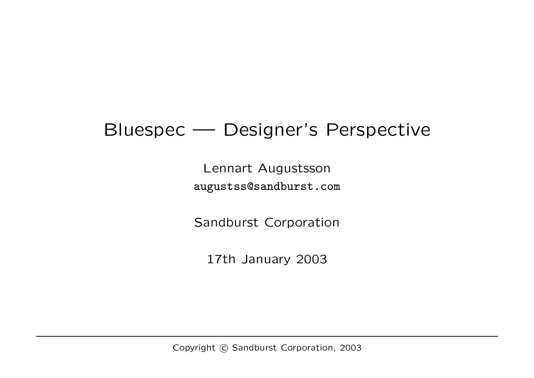## Bluespec — Designer's Perspective

Lennart Augustsson augustss@sandburst.com

Sandburst Corporation

17th January 2003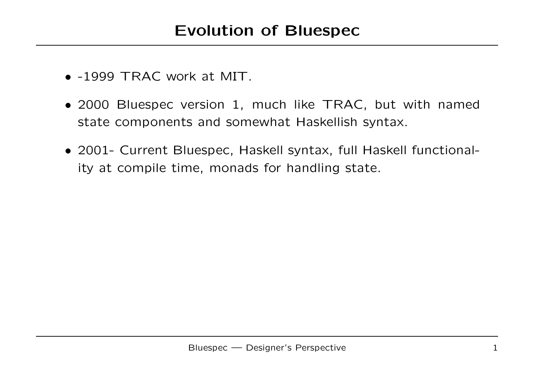- -1999 TRAC work at MIT.
- 2000 Bluespec version 1, much like TRAC, but with named state components and somewhat Haskellish syntax.
- 2001- Current Bluespec, Haskell syntax, full Haskell functionality at compile time, monads for handling state.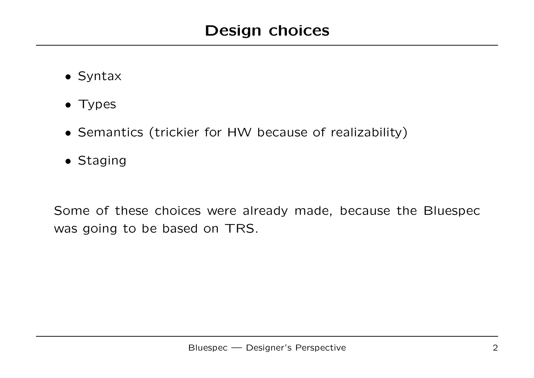- Syntax
- Types
- Semantics (trickier for HW because of realizability)
- Staging

Some of these choices were already made, because the Bluespec was going to be based on TRS.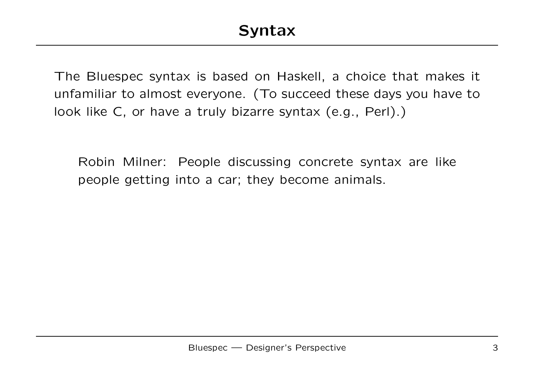The Bluespec syntax is based on Haskell, a choice that makes it unfamiliar to almost everyone. (To succeed these days you have to look like C, or have a truly bizarre syntax (e.g., Perl).)

Robin Milner: People discussing concrete syntax are like people getting into a car; they become animals.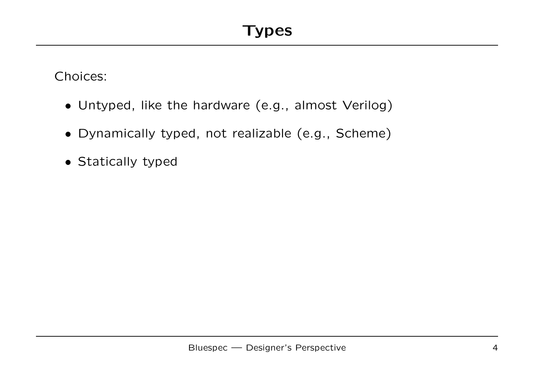Choices:

- Untyped, like the hardware (e.g., almost Verilog)
- Dynamically typed, not realizable (e.g., Scheme)
- Statically typed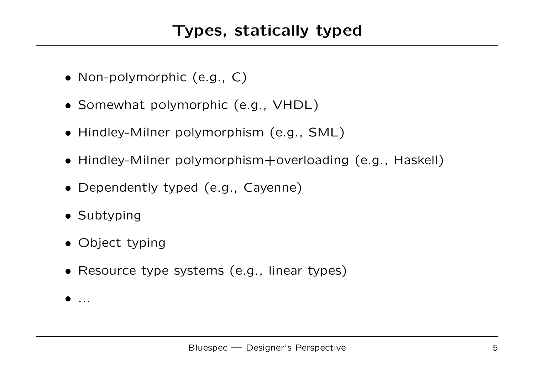- Non-polymorphic (e.g., C)
- Somewhat polymorphic (e.g., VHDL)
- Hindley-Milner polymorphism (e.g., SML)
- Hindley-Milner polymorphism+overloading (e.g., Haskell)
- Dependently typed (e.g., Cayenne)
- Subtyping
- Object typing
- Resource type systems (e.g., linear types)
- ...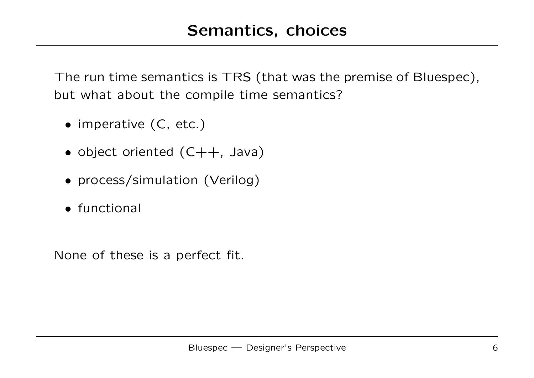The run time semantics is TRS (that was the premise of Bluespec), but what about the compile time semantics?

- imperative (C, etc.)
- object oriented (C++, Java)
- process/simulation (Verilog)
- functional

None of these is a perfect fit.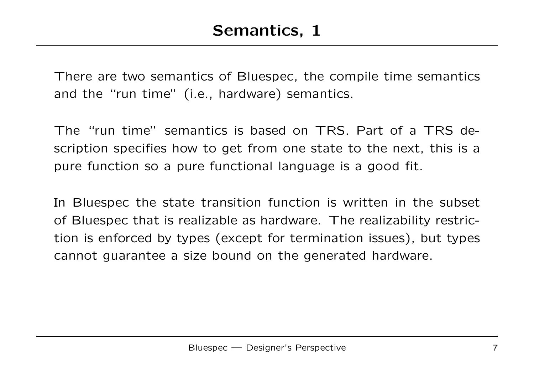There are two semantics of Bluespec, the compile time semantics and the "run time" (i.e., hardware) semantics.

The "run time" semantics is based on TRS. Part of a TRS description specifies how to get from one state to the next, this is a pure function so a pure functional language is a good fit.

In Bluespec the state transition function is written in the subset of Bluespec that is realizable as hardware. The realizability restriction is enforced by types (except for termination issues), but types cannot guarantee a size bound on the generated hardware.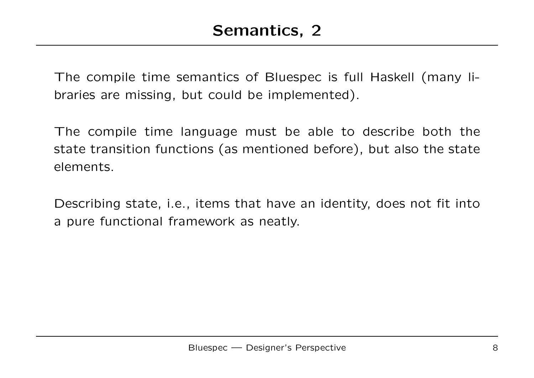The compile time semantics of Bluespec is full Haskell (many libraries are missing, but could be implemented).

The compile time language must be able to describe both the state transition functions (as mentioned before), but also the state elements.

Describing state, i.e., items that have an identity, does not fit into a pure functional framework as neatly.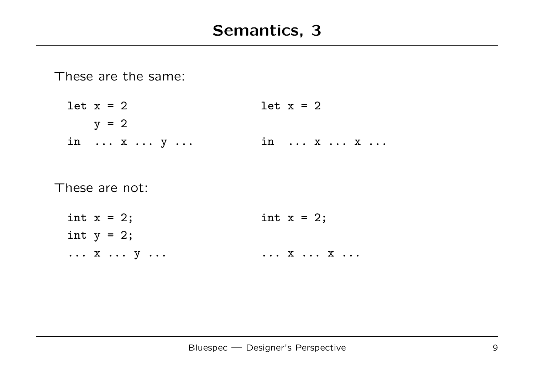These are the same:

let  $x = 2$  let  $x = 2$  $y = 2$ in ... x ... y ... in ... x ... x ...

These are not:

int  $x = 2$ ; int  $x = 2$ ; int  $y = 2$ ; ... x ... y ... ... ... ... x ... x ...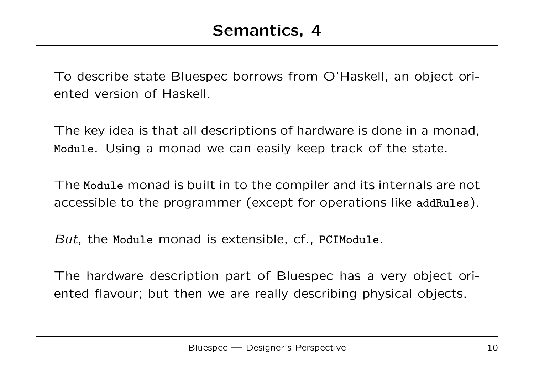To describe state Bluespec borrows from O'Haskell, an object oriented version of Haskell.

The key idea is that all descriptions of hardware is done in a monad, Module. Using a monad we can easily keep track of the state.

The Module monad is built in to the compiler and its internals are not accessible to the programmer (except for operations like addRules).

But, the Module monad is extensible, cf., PCIModule.

The hardware description part of Bluespec has a very object oriented flavour; but then we are really describing physical objects.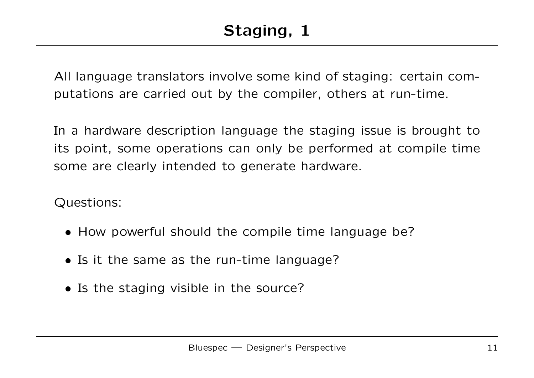All language translators involve some kind of staging: certain computations are carried out by the compiler, others at run-time.

In a hardware description language the staging issue is brought to its point, some operations can only be performed at compile time some are clearly intended to generate hardware.

Questions:

- How powerful should the compile time language be?
- Is it the same as the run-time language?
- Is the staging visible in the source?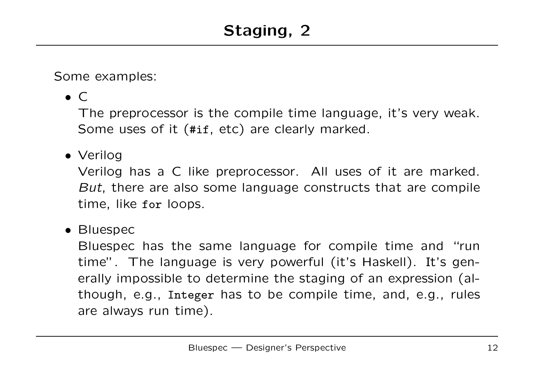Some examples:

 $\bullet$  C

The preprocessor is the compile time language, it's very weak. Some uses of it (#if, etc) are clearly marked.

## • Verilog

Verilog has a C like preprocessor. All uses of it are marked. But, there are also some language constructs that are compile time, like for loops.

• Bluespec

Bluespec has the same language for compile time and "run time". The language is very powerful (it's Haskell). It's generally impossible to determine the staging of an expression (although, e.g., Integer has to be compile time, and, e.g., rules are always run time).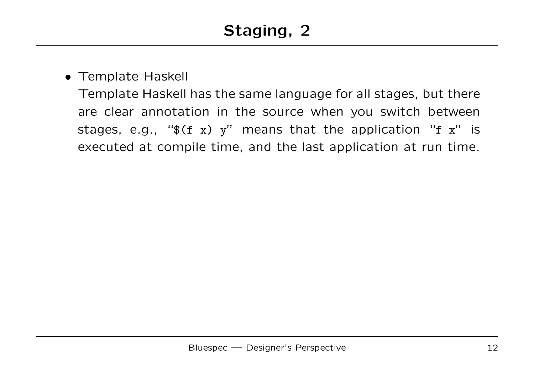## • Template Haskell

Template Haskell has the same language for all stages, but there are clear annotation in the source when you switch between stages, e.g., " $f(f \ x) y''$  means that the application "f x" is executed at compile time, and the last application at run time.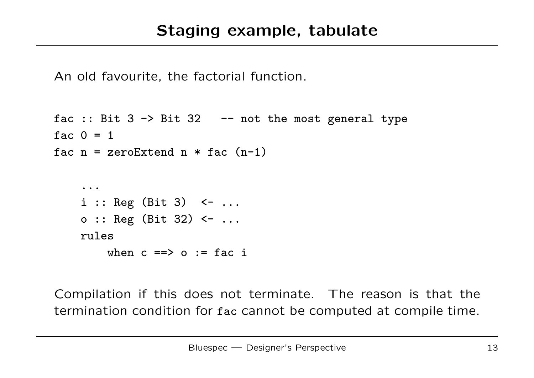An old favourite, the factorial function.

```
fac :: Bit 3 \rightarrow Bit 32 \rightarrow - not the most general type
fac 0 = 1fac n = zeroExtend n * fac (n-1)...
     i :: \text{Reg } (\text{Bit } 3) \leftarrow \dotso :: Reg (Bit 32) \le ...
     rules
          when c == > 0 := fac i
```
Compilation if this does not terminate. The reason is that the termination condition for fac cannot be computed at compile time.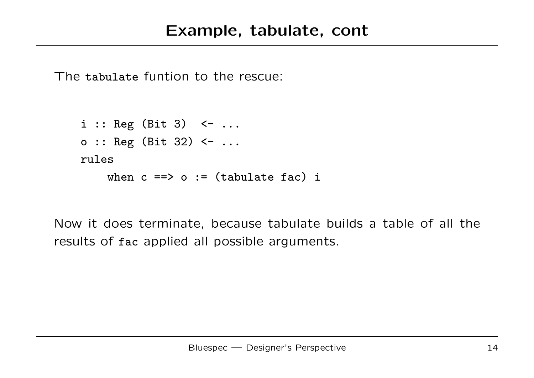The tabulate funtion to the rescue:

 $i :: \text{Reg } (\text{Bit } 3) \leftarrow \dots$ o :: Reg (Bit 32) <- ... rules when  $c == > o := (tabulate fac) i$ 

Now it does terminate, because tabulate builds a table of all the results of fac applied all possible arguments.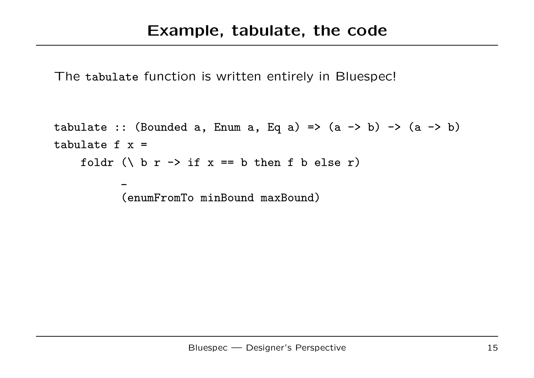The tabulate function is written entirely in Bluespec!

```
tabulate :: (Bounded a, Enum a, Eq a) => (a \rightarrow b) \rightarrow (a \rightarrow b)tabulate f x =foldr (\ b r -> if x == b then f b else r)
             \overline{\phantom{a}}(enumFromTo minBound maxBound)
```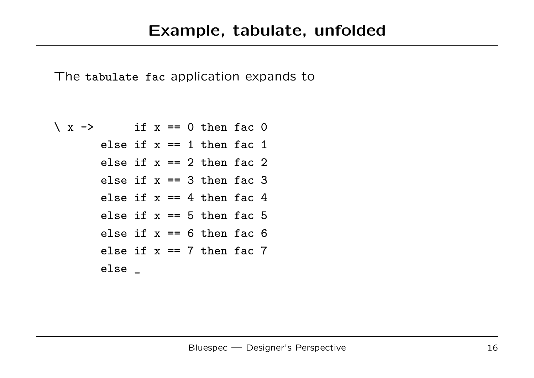The tabulate fac application expands to

$$
\begin{aligned}\n\setminus x \rightarrow & \text{if } x == 0 \text{ then fac 0} \\
\text{else if } x == 1 \text{ then fac 1} \\
\text{else if } x == 2 \text{ then fac 2} \\
\text{else if } x == 3 \text{ then fac 3} \\
\text{else if } x == 4 \text{ then fac 4} \\
\text{else if } x == 5 \text{ then fac 5} \\
\text{else if } x == 6 \text{ then fac 6} \\
\text{else if } x == 7 \text{ then fac 7} \\
\text{else } \text{__}\n\end{aligned}
$$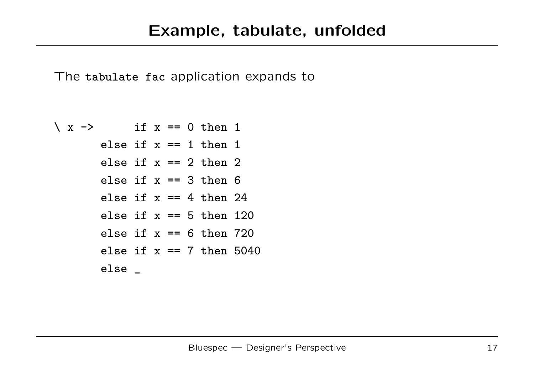The tabulate fac application expands to

$$
\begin{aligned}\n \setminus x \rightarrow & \text{if } x == 0 \text{ then } 1 \\
 \text{else if } x == 1 \text{ then } 1 \\
 \text{else if } x == 2 \text{ then } 2 \\
 \text{else if } x == 3 \text{ then } 6 \\
 \text{else if } x == 4 \text{ then } 24 \\
 \text{else if } x == 5 \text{ then } 120 \\
 \text{else if } x == 6 \text{ then } 720 \\
 \text{else if } x == 7 \text{ then } 5040 \\
 \text{else } \_\n \end{aligned}
$$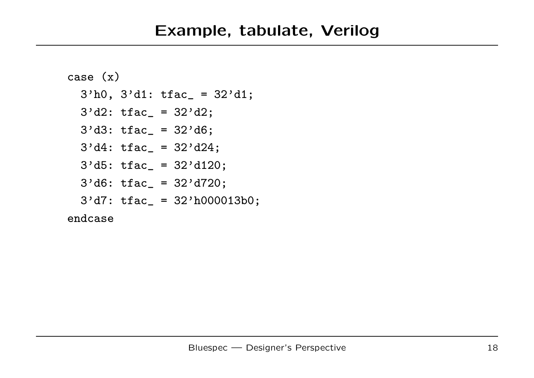```
case (x)
  3'h0, 3'd1: tfac_ = 32'd1;3'd2: tfac = 32'd2;
  3' d3: tfac = 32' d6;3'dd: tfac_ = 32'd24;
  3'd5: tfac_ = 32'd120;3' d6: tfac = 32' d720;3'd7: tfac_ = 32'h000013b0;
endcase
```